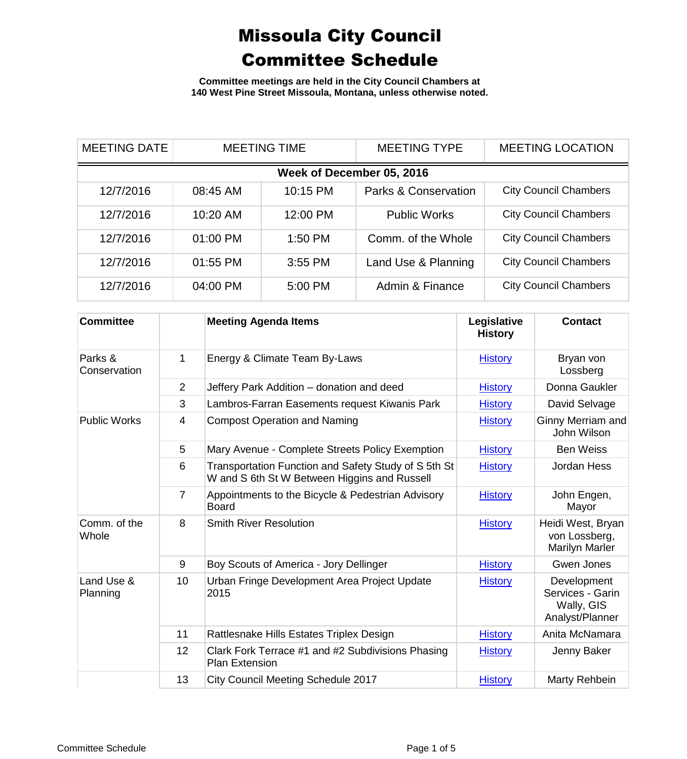**Committee meetings are held in the City Council Chambers at 140 West Pine Street Missoula, Montana, unless otherwise noted.**

| <b>MEETING DATE</b> | <b>MEETING TIME</b>       |           | <b>MEETING TYPE</b>             | <b>MEETING LOCATION</b>      |  |  |  |
|---------------------|---------------------------|-----------|---------------------------------|------------------------------|--|--|--|
|                     | Week of December 05, 2016 |           |                                 |                              |  |  |  |
| 12/7/2016           | 08:45 AM                  | 10:15 PM  | <b>Parks &amp; Conservation</b> | <b>City Council Chambers</b> |  |  |  |
| 12/7/2016           | 10:20 AM                  | 12:00 PM  | <b>Public Works</b>             | <b>City Council Chambers</b> |  |  |  |
| 12/7/2016           | 01:00 PM                  | $1:50$ PM | Comm. of the Whole              | <b>City Council Chambers</b> |  |  |  |
| 12/7/2016           | 01:55 PM                  | 3:55 PM   | Land Use & Planning             | <b>City Council Chambers</b> |  |  |  |
| 12/7/2016           | 04:00 PM                  | 5:00 PM   | Admin & Finance                 | <b>City Council Chambers</b> |  |  |  |

| <b>Committee</b>        |                | <b>Meeting Agenda Items</b>                                                                          | Legislative<br><b>History</b> | <b>Contact</b>                                                   |
|-------------------------|----------------|------------------------------------------------------------------------------------------------------|-------------------------------|------------------------------------------------------------------|
| Parks &<br>Conservation | 1              | Energy & Climate Team By-Laws                                                                        | <b>History</b>                | Bryan von<br>Lossberg                                            |
|                         | $\overline{2}$ | Jeffery Park Addition - donation and deed                                                            | <b>History</b>                | Donna Gaukler                                                    |
|                         | 3              | Lambros-Farran Easements request Kiwanis Park                                                        | <b>History</b>                | David Selvage                                                    |
| <b>Public Works</b>     | 4              | <b>Compost Operation and Naming</b>                                                                  | <b>History</b>                | Ginny Merriam and<br>John Wilson                                 |
|                         | 5              | Mary Avenue - Complete Streets Policy Exemption                                                      | <b>History</b>                | <b>Ben Weiss</b>                                                 |
|                         | 6              | Transportation Function and Safety Study of S 5th St<br>W and S 6th St W Between Higgins and Russell | <b>History</b>                | Jordan Hess                                                      |
|                         | $\overline{7}$ | Appointments to the Bicycle & Pedestrian Advisory<br><b>Board</b>                                    | <b>History</b>                | John Engen,<br>Mayor                                             |
| Comm. of the<br>Whole   | 8              | <b>Smith River Resolution</b>                                                                        | <b>History</b>                | Heidi West, Bryan<br>von Lossberg,<br><b>Marilyn Marler</b>      |
|                         | 9              | Boy Scouts of America - Jory Dellinger                                                               | <b>History</b>                | Gwen Jones                                                       |
| Land Use &<br>Planning  | 10             | Urban Fringe Development Area Project Update<br>2015                                                 | <b>History</b>                | Development<br>Services - Garin<br>Wally, GIS<br>Analyst/Planner |
|                         | 11             | Rattlesnake Hills Estates Triplex Design                                                             | <b>History</b>                | Anita McNamara                                                   |
|                         | 12             | Clark Fork Terrace #1 and #2 Subdivisions Phasing<br><b>Plan Extension</b>                           | <b>History</b>                | Jenny Baker                                                      |
|                         | 13             | City Council Meeting Schedule 2017                                                                   | <b>History</b>                | Marty Rehbein                                                    |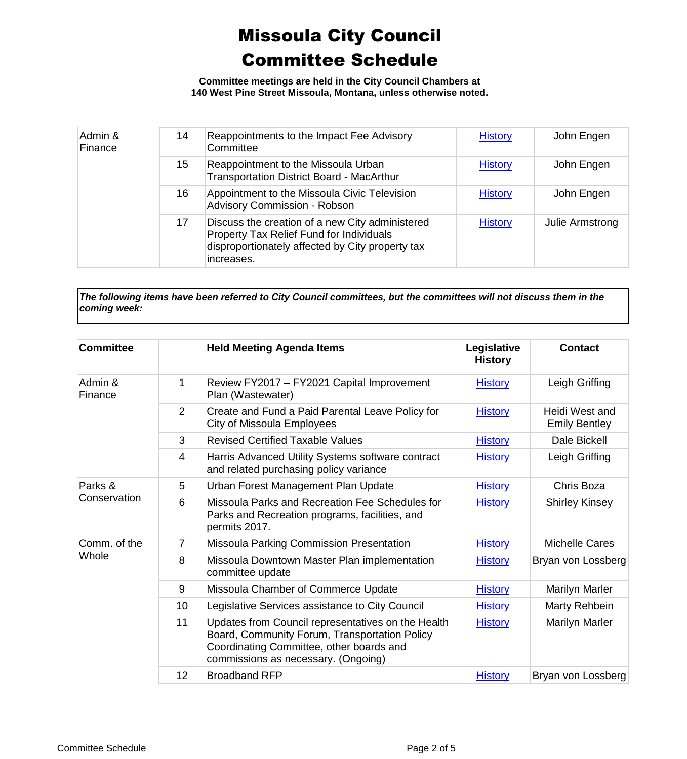**Committee meetings are held in the City Council Chambers at 140 West Pine Street Missoula, Montana, unless otherwise noted.**

| Admin &<br>Finance | 14 | Reappointments to the Impact Fee Advisory<br>Committee                                                                                                        | <b>History</b> | John Engen      |
|--------------------|----|---------------------------------------------------------------------------------------------------------------------------------------------------------------|----------------|-----------------|
|                    | 15 | Reappointment to the Missoula Urban<br><b>Transportation District Board - MacArthur</b>                                                                       | <b>History</b> | John Engen      |
|                    | 16 | Appointment to the Missoula Civic Television<br><b>Advisory Commission - Robson</b>                                                                           | <b>History</b> | John Engen      |
|                    | 17 | Discuss the creation of a new City administered<br>Property Tax Relief Fund for Individuals<br>disproportionately affected by City property tax<br>increases. | <b>History</b> | Julie Armstrong |

*The following items have been referred to City Council committees, but the committees will not discuss them in the coming week:*

| <b>Committee</b>      |                | <b>Held Meeting Agenda Items</b>                                                                                                                                                       | Legislative<br><b>History</b> | <b>Contact</b>                         |
|-----------------------|----------------|----------------------------------------------------------------------------------------------------------------------------------------------------------------------------------------|-------------------------------|----------------------------------------|
| Admin &<br>Finance    | 1              | Review FY2017 - FY2021 Capital Improvement<br>Plan (Wastewater)                                                                                                                        | <b>History</b>                | Leigh Griffing                         |
|                       | $\overline{2}$ | Create and Fund a Paid Parental Leave Policy for<br>City of Missoula Employees                                                                                                         | <b>History</b>                | Heidi West and<br><b>Emily Bentley</b> |
|                       | 3              | <b>Revised Certified Taxable Values</b>                                                                                                                                                | <b>History</b>                | Dale Bickell                           |
|                       | $\overline{4}$ | Harris Advanced Utility Systems software contract<br>and related purchasing policy variance                                                                                            | <b>History</b>                | Leigh Griffing                         |
| Parks &               | 5              | Urban Forest Management Plan Update                                                                                                                                                    | <b>History</b>                | Chris Boza                             |
| Conservation          | 6              | Missoula Parks and Recreation Fee Schedules for<br>Parks and Recreation programs, facilities, and<br>permits 2017.                                                                     | <b>History</b>                | <b>Shirley Kinsey</b>                  |
| Comm. of the<br>Whole | $\overline{7}$ | Missoula Parking Commission Presentation                                                                                                                                               | <b>History</b>                | <b>Michelle Cares</b>                  |
|                       | 8              | Missoula Downtown Master Plan implementation<br>committee update                                                                                                                       | <b>History</b>                | Bryan von Lossberg                     |
|                       | 9              | Missoula Chamber of Commerce Update                                                                                                                                                    | <b>History</b>                | Marilyn Marler                         |
|                       | 10             | Legislative Services assistance to City Council                                                                                                                                        | <b>History</b>                | Marty Rehbein                          |
|                       | 11             | Updates from Council representatives on the Health<br>Board, Community Forum, Transportation Policy<br>Coordinating Committee, other boards and<br>commissions as necessary. (Ongoing) | <b>History</b>                | Marilyn Marler                         |
|                       | 12             | <b>Broadband RFP</b>                                                                                                                                                                   | <b>History</b>                | Bryan von Lossberg                     |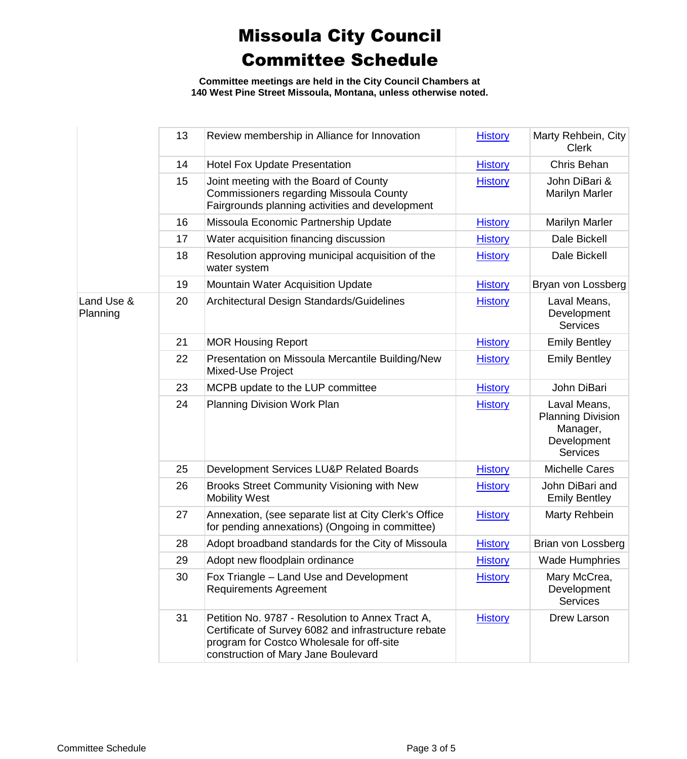**Committee meetings are held in the City Council Chambers at 140 West Pine Street Missoula, Montana, unless otherwise noted.**

|                        | 13 | Review membership in Alliance for Innovation                                                                                                                                                 | <b>History</b> | Marty Rehbein, City<br><b>Clerk</b>                                                    |
|------------------------|----|----------------------------------------------------------------------------------------------------------------------------------------------------------------------------------------------|----------------|----------------------------------------------------------------------------------------|
|                        | 14 | <b>Hotel Fox Update Presentation</b>                                                                                                                                                         | <b>History</b> | Chris Behan                                                                            |
|                        | 15 | Joint meeting with the Board of County<br><b>Commissioners regarding Missoula County</b><br>Fairgrounds planning activities and development                                                  | <b>History</b> | John DiBari &<br><b>Marilyn Marler</b>                                                 |
|                        | 16 | Missoula Economic Partnership Update                                                                                                                                                         | <b>History</b> | <b>Marilyn Marler</b>                                                                  |
|                        | 17 | Water acquisition financing discussion                                                                                                                                                       | <b>History</b> | Dale Bickell                                                                           |
|                        | 18 | Resolution approving municipal acquisition of the<br>water system                                                                                                                            | <b>History</b> | Dale Bickell                                                                           |
|                        | 19 | Mountain Water Acquisition Update                                                                                                                                                            | <b>History</b> | Bryan von Lossberg                                                                     |
| Land Use &<br>Planning | 20 | Architectural Design Standards/Guidelines                                                                                                                                                    | <b>History</b> | Laval Means,<br>Development<br><b>Services</b>                                         |
|                        | 21 | <b>MOR Housing Report</b>                                                                                                                                                                    | <b>History</b> | <b>Emily Bentley</b>                                                                   |
|                        | 22 | Presentation on Missoula Mercantile Building/New<br>Mixed-Use Project                                                                                                                        | <b>History</b> | <b>Emily Bentley</b>                                                                   |
|                        | 23 | MCPB update to the LUP committee                                                                                                                                                             | <b>History</b> | John DiBari                                                                            |
|                        | 24 | <b>Planning Division Work Plan</b>                                                                                                                                                           | <b>History</b> | Laval Means,<br><b>Planning Division</b><br>Manager,<br>Development<br><b>Services</b> |
|                        | 25 | Development Services LU&P Related Boards                                                                                                                                                     | <b>History</b> | <b>Michelle Cares</b>                                                                  |
|                        | 26 | Brooks Street Community Visioning with New<br><b>Mobility West</b>                                                                                                                           | <b>History</b> | John DiBari and<br><b>Emily Bentley</b>                                                |
|                        | 27 | Annexation, (see separate list at City Clerk's Office<br>for pending annexations) (Ongoing in committee)                                                                                     | <b>History</b> | Marty Rehbein                                                                          |
|                        | 28 | Adopt broadband standards for the City of Missoula                                                                                                                                           | <b>History</b> | Brian von Lossberg                                                                     |
|                        | 29 | Adopt new floodplain ordinance                                                                                                                                                               | <b>History</b> | <b>Wade Humphries</b>                                                                  |
|                        | 30 | Fox Triangle - Land Use and Development<br><b>Requirements Agreement</b>                                                                                                                     | <b>History</b> | Mary McCrea,<br>Development<br><b>Services</b>                                         |
|                        | 31 | Petition No. 9787 - Resolution to Annex Tract A,<br>Certificate of Survey 6082 and infrastructure rebate<br>program for Costco Wholesale for off-site<br>construction of Mary Jane Boulevard | <b>History</b> | Drew Larson                                                                            |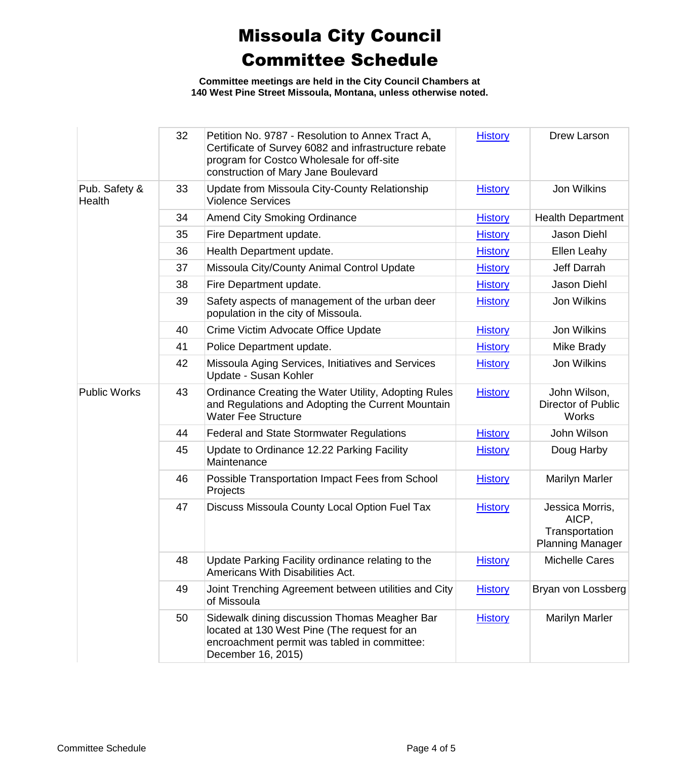**Committee meetings are held in the City Council Chambers at 140 West Pine Street Missoula, Montana, unless otherwise noted.**

|                         | 32 | Petition No. 9787 - Resolution to Annex Tract A,<br>Certificate of Survey 6082 and infrastructure rebate<br>program for Costco Wholesale for off-site<br>construction of Mary Jane Boulevard | <b>History</b> | Drew Larson                                                           |
|-------------------------|----|----------------------------------------------------------------------------------------------------------------------------------------------------------------------------------------------|----------------|-----------------------------------------------------------------------|
| Pub. Safety &<br>Health | 33 | Update from Missoula City-County Relationship<br><b>Violence Services</b>                                                                                                                    | <b>History</b> | Jon Wilkins                                                           |
|                         | 34 | <b>Amend City Smoking Ordinance</b>                                                                                                                                                          | <b>History</b> | <b>Health Department</b>                                              |
|                         | 35 | Fire Department update.                                                                                                                                                                      | <b>History</b> | <b>Jason Diehl</b>                                                    |
|                         | 36 | Health Department update.                                                                                                                                                                    | <b>History</b> | Ellen Leahy                                                           |
|                         | 37 | Missoula City/County Animal Control Update                                                                                                                                                   | <b>History</b> | Jeff Darrah                                                           |
|                         | 38 | Fire Department update.                                                                                                                                                                      | <b>History</b> | <b>Jason Diehl</b>                                                    |
|                         | 39 | Safety aspects of management of the urban deer<br>population in the city of Missoula.                                                                                                        | <b>History</b> | Jon Wilkins                                                           |
|                         | 40 | Crime Victim Advocate Office Update                                                                                                                                                          | <b>History</b> | Jon Wilkins                                                           |
|                         | 41 | Police Department update.                                                                                                                                                                    | <b>History</b> | Mike Brady                                                            |
|                         | 42 | Missoula Aging Services, Initiatives and Services<br>Update - Susan Kohler                                                                                                                   | <b>History</b> | Jon Wilkins                                                           |
| <b>Public Works</b>     | 43 | Ordinance Creating the Water Utility, Adopting Rules<br>and Regulations and Adopting the Current Mountain<br><b>Water Fee Structure</b>                                                      | <b>History</b> | John Wilson,<br>Director of Public<br>Works                           |
|                         | 44 | <b>Federal and State Stormwater Regulations</b>                                                                                                                                              | <b>History</b> | John Wilson                                                           |
|                         | 45 | Update to Ordinance 12.22 Parking Facility<br>Maintenance                                                                                                                                    | <b>History</b> | Doug Harby                                                            |
|                         | 46 | Possible Transportation Impact Fees from School<br>Projects                                                                                                                                  | <b>History</b> | <b>Marilyn Marler</b>                                                 |
|                         | 47 | Discuss Missoula County Local Option Fuel Tax                                                                                                                                                | <b>History</b> | Jessica Morris,<br>AICP,<br>Transportation<br><b>Planning Manager</b> |
|                         | 48 | Update Parking Facility ordinance relating to the<br>Americans With Disabilities Act.                                                                                                        | <b>History</b> | <b>Michelle Cares</b>                                                 |
|                         | 49 | Joint Trenching Agreement between utilities and City<br>of Missoula                                                                                                                          | <b>History</b> | Bryan von Lossberg                                                    |
|                         | 50 | Sidewalk dining discussion Thomas Meagher Bar<br>located at 130 West Pine (The request for an<br>encroachment permit was tabled in committee:<br>December 16, 2015)                          | <b>History</b> | <b>Marilyn Marler</b>                                                 |